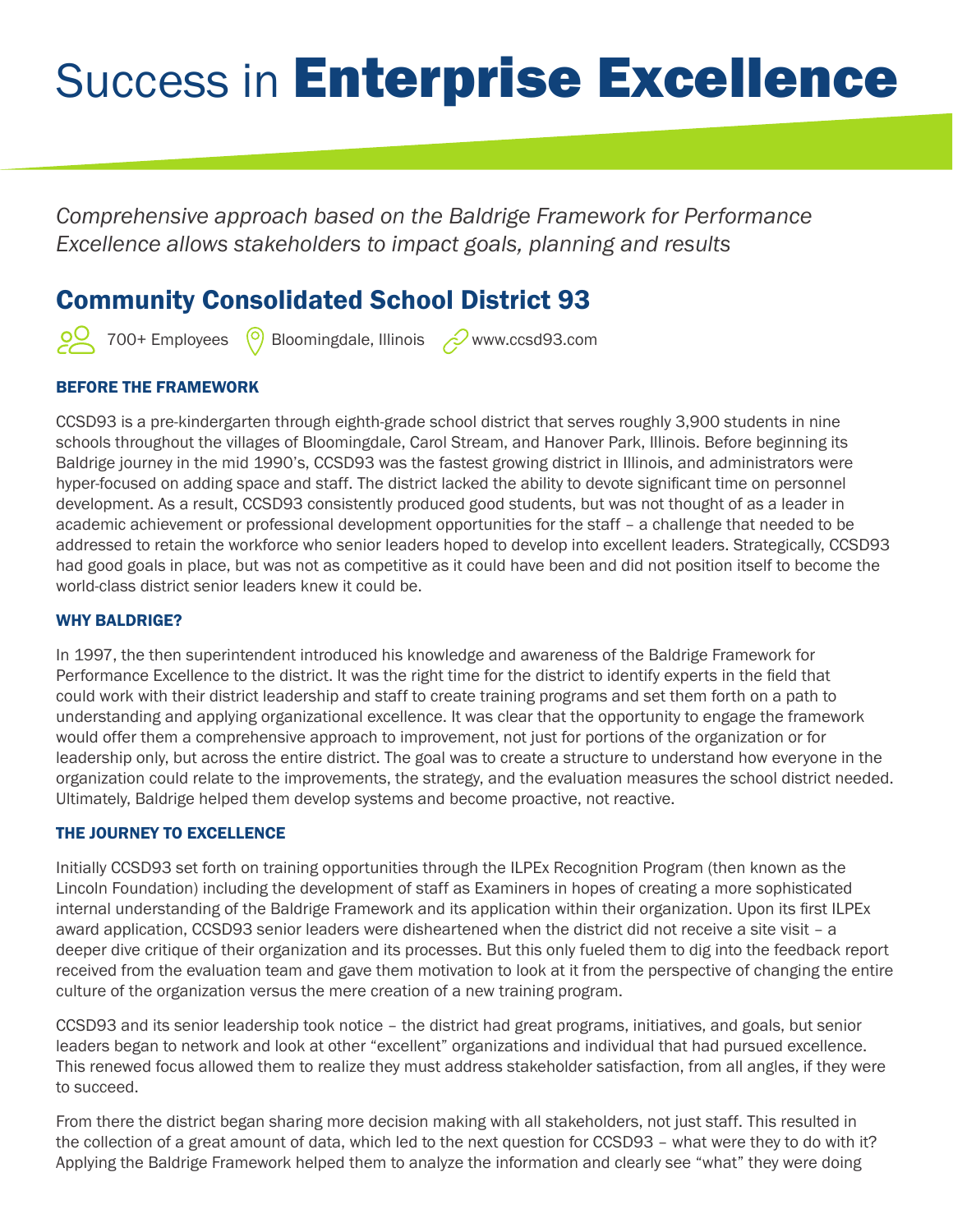# Success in Enterprise Excellence

*Comprehensive approach based on the Baldrige Framework for Performance Excellence allows stakeholders to impact goals, planning and results*

# Community Consolidated School District 93

700+ Employees (O Bloomingdale, Illinois Mww.ccsd93.com

# BEFORE THE FRAMEWORK

CCSD93 is a pre-kindergarten through eighth-grade school district that serves roughly 3,900 students in nine schools throughout the villages of Bloomingdale, Carol Stream, and Hanover Park, Illinois. Before beginning its Baldrige journey in the mid 1990's, CCSD93 was the fastest growing district in Illinois, and administrators were hyper-focused on adding space and staff. The district lacked the ability to devote significant time on personnel development. As a result, CCSD93 consistently produced good students, but was not thought of as a leader in academic achievement or professional development opportunities for the staff – a challenge that needed to be addressed to retain the workforce who senior leaders hoped to develop into excellent leaders. Strategically, CCSD93 had good goals in place, but was not as competitive as it could have been and did not position itself to become the world-class district senior leaders knew it could be.

## WHY BALDRIGE?

In 1997, the then superintendent introduced his knowledge and awareness of the Baldrige Framework for Performance Excellence to the district. It was the right time for the district to identify experts in the field that could work with their district leadership and staff to create training programs and set them forth on a path to understanding and applying organizational excellence. It was clear that the opportunity to engage the framework would offer them a comprehensive approach to improvement, not just for portions of the organization or for leadership only, but across the entire district. The goal was to create a structure to understand how everyone in the organization could relate to the improvements, the strategy, and the evaluation measures the school district needed. Ultimately, Baldrige helped them develop systems and become proactive, not reactive.

### THE JOURNEY TO EXCELLENCE

Initially CCSD93 set forth on training opportunities through the ILPEx Recognition Program (then known as the Lincoln Foundation) including the development of staff as Examiners in hopes of creating a more sophisticated internal understanding of the Baldrige Framework and its application within their organization. Upon its first ILPEx award application, CCSD93 senior leaders were disheartened when the district did not receive a site visit – a deeper dive critique of their organization and its processes. But this only fueled them to dig into the feedback report received from the evaluation team and gave them motivation to look at it from the perspective of changing the entire culture of the organization versus the mere creation of a new training program.

CCSD93 and its senior leadership took notice – the district had great programs, initiatives, and goals, but senior leaders began to network and look at other "excellent" organizations and individual that had pursued excellence. This renewed focus allowed them to realize they must address stakeholder satisfaction, from all angles, if they were to succeed.

From there the district began sharing more decision making with all stakeholders, not just staff. This resulted in the collection of a great amount of data, which led to the next question for CCSD93 – what were they to do with it? Applying the Baldrige Framework helped them to analyze the information and clearly see "what" they were doing